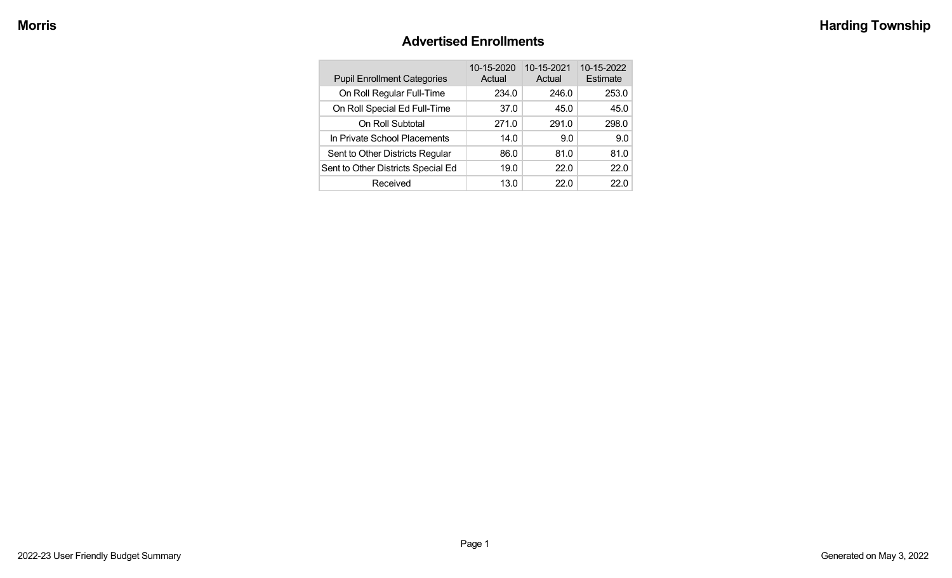### **Advertised Enrollments**

| <b>Pupil Enrollment Categories</b> | 10-15-2020<br>Actual | 10-15-2021<br>Actual | 10-15-2022<br>Estimate |
|------------------------------------|----------------------|----------------------|------------------------|
| On Roll Regular Full-Time          | 234.0                | 246.0                | 253.0                  |
| On Roll Special Ed Full-Time       | 37.0                 | 45.0                 | 45.0                   |
| On Roll Subtotal                   | 271.0                | 291.0                | 298.0                  |
| In Private School Placements       | 14.0                 | 9.0                  | 9.0                    |
| Sent to Other Districts Regular    | 86.0                 | 81.0                 | 81.0                   |
| Sent to Other Districts Special Ed | 19.0                 | 22.0                 | 22.0                   |
| Received                           | 13.0                 | 22.0                 | 22 O                   |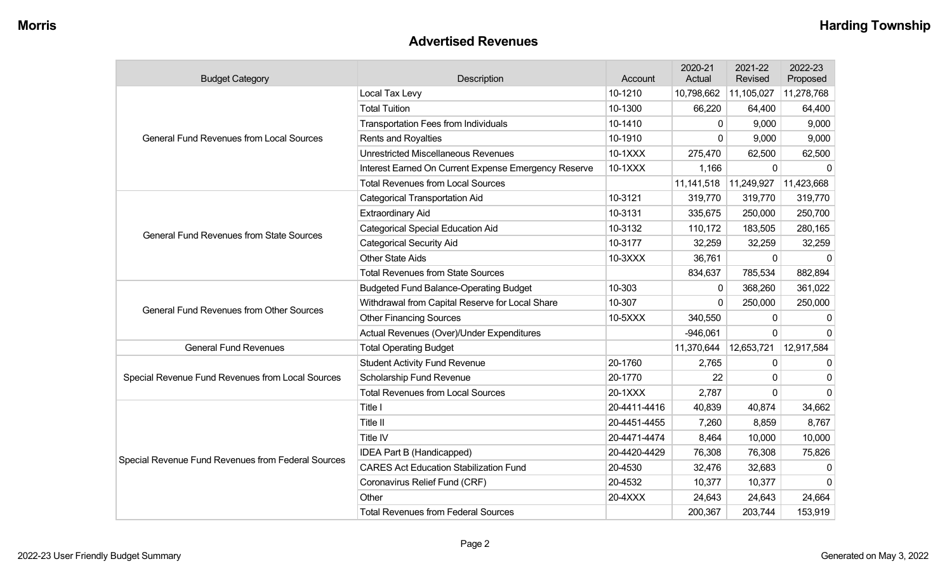#### **Advertised Revenues**

| <b>Budget Category</b>                             | Description                                          | Account      | 2020-21<br>Actual | 2021-22<br>Revised | 2022-23<br>Proposed |
|----------------------------------------------------|------------------------------------------------------|--------------|-------------------|--------------------|---------------------|
|                                                    | Local Tax Levy                                       | 10-1210      | 10,798,662        | 11,105,027         | 11,278,768          |
|                                                    | <b>Total Tuition</b>                                 | 10-1300      | 66,220            | 64,400             | 64,400              |
|                                                    | <b>Transportation Fees from Individuals</b>          | 10-1410      | $\mathbf{0}$      | 9,000              | 9,000               |
| <b>General Fund Revenues from Local Sources</b>    | Rents and Royalties                                  | 10-1910      | $\mathbf 0$       | 9,000              | 9,000               |
|                                                    | <b>Unrestricted Miscellaneous Revenues</b>           | 10-1XXX      | 275,470           | 62,500             | 62,500              |
|                                                    | Interest Earned On Current Expense Emergency Reserve | 10-1XXX      | 1,166             | $\mathbf 0$        | $\Omega$            |
|                                                    | <b>Total Revenues from Local Sources</b>             |              | 11,141,518        | 11,249,927         | 11,423,668          |
|                                                    | <b>Categorical Transportation Aid</b>                | 10-3121      | 319,770           | 319,770            | 319,770             |
|                                                    | <b>Extraordinary Aid</b>                             | 10-3131      | 335,675           | 250,000            | 250,700             |
| <b>General Fund Revenues from State Sources</b>    | <b>Categorical Special Education Aid</b>             | 10-3132      | 110,172           | 183,505            | 280,165             |
|                                                    | <b>Categorical Security Aid</b>                      | 10-3177      | 32,259            | 32,259             | 32,259              |
|                                                    | <b>Other State Aids</b>                              | 10-3XXX      | 36,761            | 0                  | $\Omega$            |
|                                                    | <b>Total Revenues from State Sources</b>             |              | 834,637           | 785,534            | 882,894             |
|                                                    | <b>Budgeted Fund Balance-Operating Budget</b>        | 10-303       | $\mathbf{0}$      | 368,260            | 361,022             |
| <b>General Fund Revenues from Other Sources</b>    | Withdrawal from Capital Reserve for Local Share      | 10-307       | $\mathbf 0$       | 250,000            | 250,000             |
|                                                    | <b>Other Financing Sources</b>                       | 10-5XXX      | 340,550           | 0                  | $\mathbf{0}$        |
|                                                    | Actual Revenues (Over)/Under Expenditures            |              | $-946,061$        | $\mathbf 0$        | $\Omega$            |
| <b>General Fund Revenues</b>                       | <b>Total Operating Budget</b>                        |              | 11,370,644        | 12,653,721         | 12,917,584          |
|                                                    | <b>Student Activity Fund Revenue</b>                 | 20-1760      | 2,765             | 0                  | $\Omega$            |
| Special Revenue Fund Revenues from Local Sources   | Scholarship Fund Revenue                             | 20-1770      | 22                | 0                  | $\Omega$            |
|                                                    | <b>Total Revenues from Local Sources</b>             | 20-1XXX      | 2,787             | 0                  | $\Omega$            |
|                                                    | Title I                                              | 20-4411-4416 | 40,839            | 40,874             | 34,662              |
|                                                    | Title II                                             | 20-4451-4455 | 7,260             | 8,859              | 8,767               |
|                                                    | Title IV                                             | 20-4471-4474 | 8,464             | 10,000             | 10,000              |
| Special Revenue Fund Revenues from Federal Sources | IDEA Part B (Handicapped)                            | 20-4420-4429 | 76,308            | 76,308             | 75,826              |
|                                                    | <b>CARES Act Education Stabilization Fund</b>        | 20-4530      | 32,476            | 32,683             | $\Omega$            |
|                                                    | Coronavirus Relief Fund (CRF)                        | 20-4532      | 10,377            | 10,377             | $\Omega$            |
|                                                    | Other                                                | 20-4XXX      | 24,643            | 24,643             | 24,664              |
|                                                    | <b>Total Revenues from Federal Sources</b>           |              | 200,367           | 203,744            | 153,919             |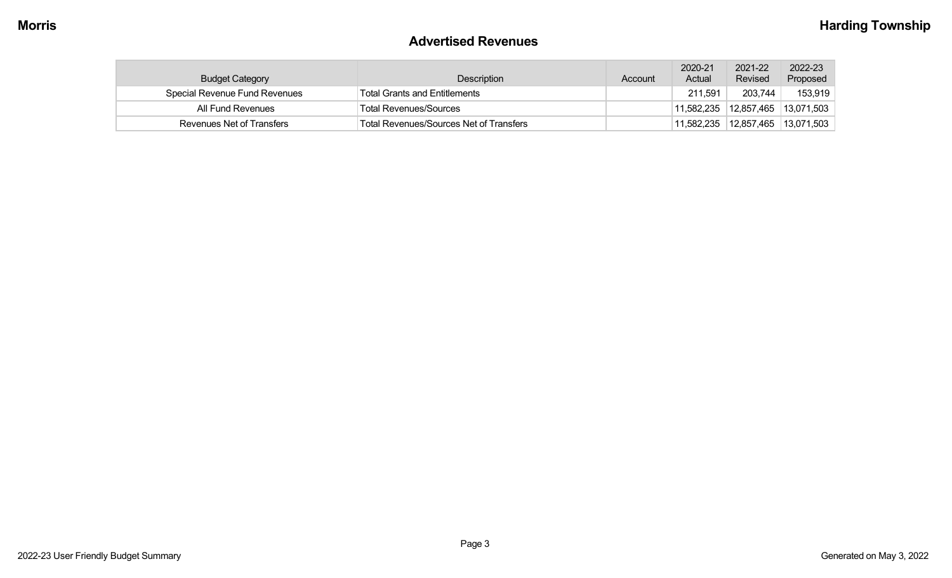#### **Advertised Revenues**

| <b>Budget Category</b>        | <b>Description</b>                             | Account | 2020-21<br>Actual | 2021-22<br>Revised | 2022-23<br>Proposed |
|-------------------------------|------------------------------------------------|---------|-------------------|--------------------|---------------------|
| Special Revenue Fund Revenues | <b>Total Grants and Entitlements</b>           |         | 211,591           | 203,744            | 153,919             |
| All Fund Revenues             | <b>Total Revenues/Sources</b>                  |         | 11,582,235        | 12,857,465         | 13,071,503          |
| Revenues Net of Transfers     | <b>Total Revenues/Sources Net of Transfers</b> |         | 11,582,235        | 12,857,465         | 13,071,503          |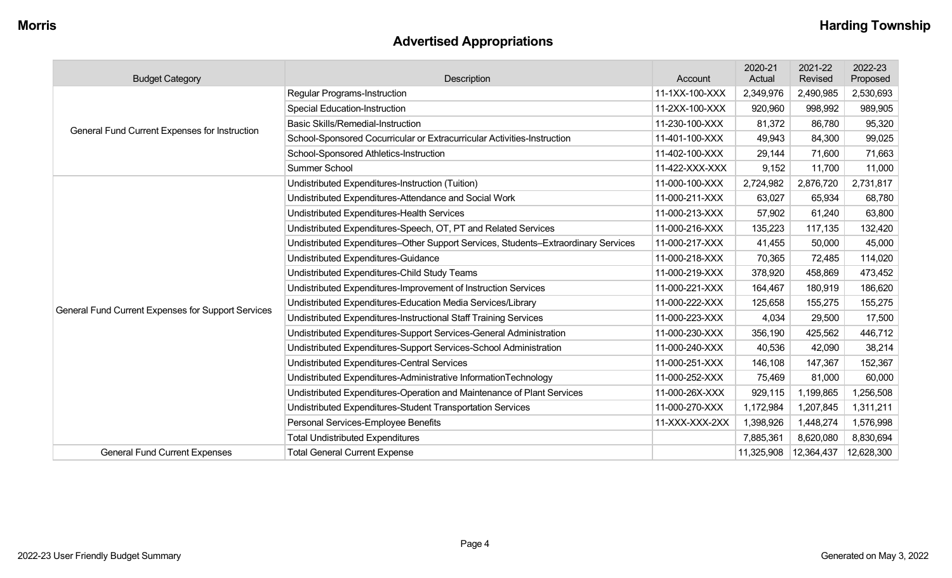# **Advertised Appropriations**

| <b>Budget Category</b>                             | Description                                                                        | Account        | 2020-21<br>Actual | 2021-22<br>Revised | 2022-23<br>Proposed |
|----------------------------------------------------|------------------------------------------------------------------------------------|----------------|-------------------|--------------------|---------------------|
|                                                    | <b>Regular Programs-Instruction</b>                                                | 11-1XX-100-XXX | 2,349,976         | 2,490,985          | 2,530,693           |
|                                                    | <b>Special Education-Instruction</b>                                               | 11-2XX-100-XXX | 920,960           | 998,992            | 989,905             |
| General Fund Current Expenses for Instruction      | <b>Basic Skills/Remedial-Instruction</b>                                           | 11-230-100-XXX | 81,372            | 86,780             | 95,320              |
|                                                    | School-Sponsored Cocurricular or Extracurricular Activities-Instruction            | 11-401-100-XXX | 49,943            | 84,300             | 99,025              |
|                                                    | School-Sponsored Athletics-Instruction                                             | 11-402-100-XXX | 29,144            | 71,600             | 71,663              |
|                                                    | <b>Summer School</b>                                                               | 11-422-XXX-XXX | 9,152             | 11,700             | 11,000              |
|                                                    | Undistributed Expenditures-Instruction (Tuition)                                   | 11-000-100-XXX | 2,724,982         | 2,876,720          | 2,731,817           |
|                                                    | Undistributed Expenditures-Attendance and Social Work                              | 11-000-211-XXX | 63,027            | 65,934             | 68,780              |
|                                                    | Undistributed Expenditures-Health Services                                         | 11-000-213-XXX | 57,902            | 61,240             | 63,800              |
|                                                    | Undistributed Expenditures-Speech, OT, PT and Related Services                     | 11-000-216-XXX | 135,223           | 117,135            | 132,420             |
|                                                    | Undistributed Expenditures-Other Support Services, Students-Extraordinary Services | 11-000-217-XXX | 41,455            | 50,000             | 45,000              |
|                                                    | Undistributed Expenditures-Guidance                                                | 11-000-218-XXX | 70,365            | 72,485             | 114,020             |
|                                                    | Undistributed Expenditures-Child Study Teams                                       | 11-000-219-XXX | 378,920           | 458,869            | 473,452             |
|                                                    | Undistributed Expenditures-Improvement of Instruction Services                     | 11-000-221-XXX | 164,467           | 180,919            | 186,620             |
| General Fund Current Expenses for Support Services | Undistributed Expenditures-Education Media Services/Library                        | 11-000-222-XXX | 125,658           | 155,275            | 155,275             |
|                                                    | Undistributed Expenditures-Instructional Staff Training Services                   | 11-000-223-XXX | 4,034             | 29,500             | 17,500              |
|                                                    | Undistributed Expenditures-Support Services-General Administration                 | 11-000-230-XXX | 356,190           | 425,562            | 446,712             |
|                                                    | Undistributed Expenditures-Support Services-School Administration                  | 11-000-240-XXX | 40,536            | 42,090             | 38,214              |
|                                                    | Undistributed Expenditures-Central Services                                        | 11-000-251-XXX | 146,108           | 147,367            | 152,367             |
|                                                    | Undistributed Expenditures-Administrative InformationTechnology                    | 11-000-252-XXX | 75,469            | 81,000             | 60,000              |
|                                                    | Undistributed Expenditures-Operation and Maintenance of Plant Services             | 11-000-26X-XXX | 929,115           | 1,199,865          | 1,256,508           |
|                                                    | Undistributed Expenditures-Student Transportation Services                         | 11-000-270-XXX | 1,172,984         | 1,207,845          | 1,311,211           |
|                                                    | Personal Services-Employee Benefits                                                | 11-XXX-XXX-2XX | 1,398,926         | 1,448,274          | 1,576,998           |
|                                                    | <b>Total Undistributed Expenditures</b>                                            |                | 7,885,361         | 8,620,080          | 8,830,694           |
| <b>General Fund Current Expenses</b>               | <b>Total General Current Expense</b>                                               |                | 11,325,908        | 12,364,437         | 12,628,300          |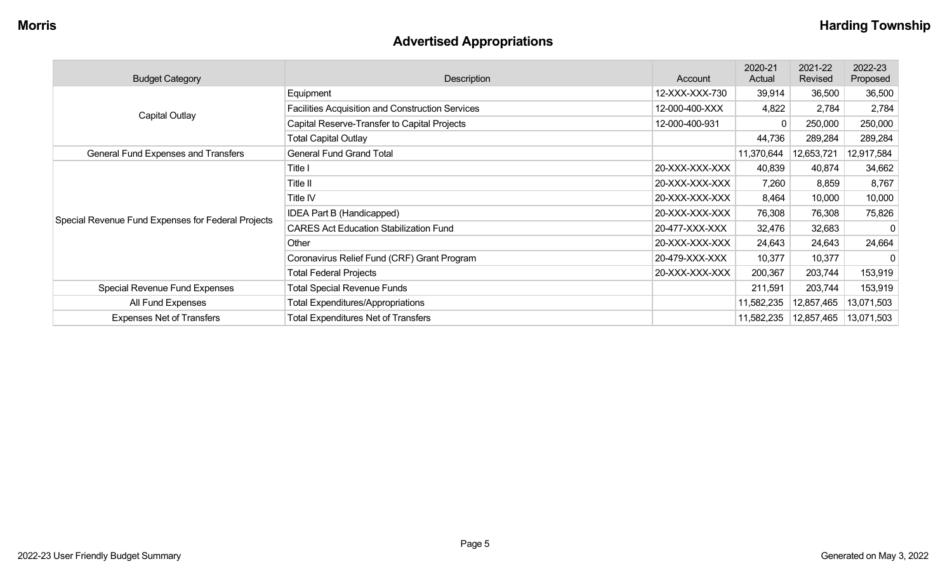# **Advertised Appropriations**

| <b>Budget Category</b>                             | Description                                      | Account        | 2020-21<br>Actual | 2021-22<br>Revised | 2022-23<br>Proposed     |
|----------------------------------------------------|--------------------------------------------------|----------------|-------------------|--------------------|-------------------------|
|                                                    | Equipment                                        | 12-XXX-XXX-730 | 39,914            | 36,500             | 36,500                  |
|                                                    | Facilities Acquisition and Construction Services | 12-000-400-XXX | 4,822             | 2,784              | 2,784                   |
| <b>Capital Outlay</b>                              | Capital Reserve-Transfer to Capital Projects     | 12-000-400-931 | 0                 | 250,000            | 250,000                 |
|                                                    | <b>Total Capital Outlay</b>                      |                | 44,736            | 289,284            | 289,284                 |
| General Fund Expenses and Transfers                | <b>General Fund Grand Total</b>                  |                | 11,370,644        | 12,653,721         | 12,917,584              |
|                                                    | Title I                                          | 20-XXX-XXX-XXX | 40,839            | 40,874             | 34,662                  |
|                                                    | Title II                                         | 20-XXX-XXX-XXX | 7,260             | 8,859              | 8,767                   |
|                                                    | Title IV                                         | 20-XXX-XXX-XXX | 8,464             | 10,000             | 10,000                  |
|                                                    | IDEA Part B (Handicapped)                        | 20-XXX-XXX-XXX | 76,308            | 76,308             | 75,826                  |
| Special Revenue Fund Expenses for Federal Projects | <b>CARES Act Education Stabilization Fund</b>    | 20-477-XXX-XXX | 32,476            | 32,683             | $\Omega$                |
|                                                    | Other                                            | 20-XXX-XXX-XXX | 24,643            | 24,643             | 24,664                  |
|                                                    | Coronavirus Relief Fund (CRF) Grant Program      | 20-479-XXX-XXX | 10,377            | 10,377             | 0                       |
|                                                    | <b>Total Federal Projects</b>                    | 20-XXX-XXX-XXX | 200,367           | 203,744            | 153,919                 |
| Special Revenue Fund Expenses                      | <b>Total Special Revenue Funds</b>               |                | 211,591           | 203,744            | 153,919                 |
| All Fund Expenses                                  | <b>Total Expenditures/Appropriations</b>         |                | 11,582,235        | 12,857,465         | 13,071,503              |
| <b>Expenses Net of Transfers</b>                   | <b>Total Expenditures Net of Transfers</b>       |                | 11,582,235        |                    | 12,857,465   13,071,503 |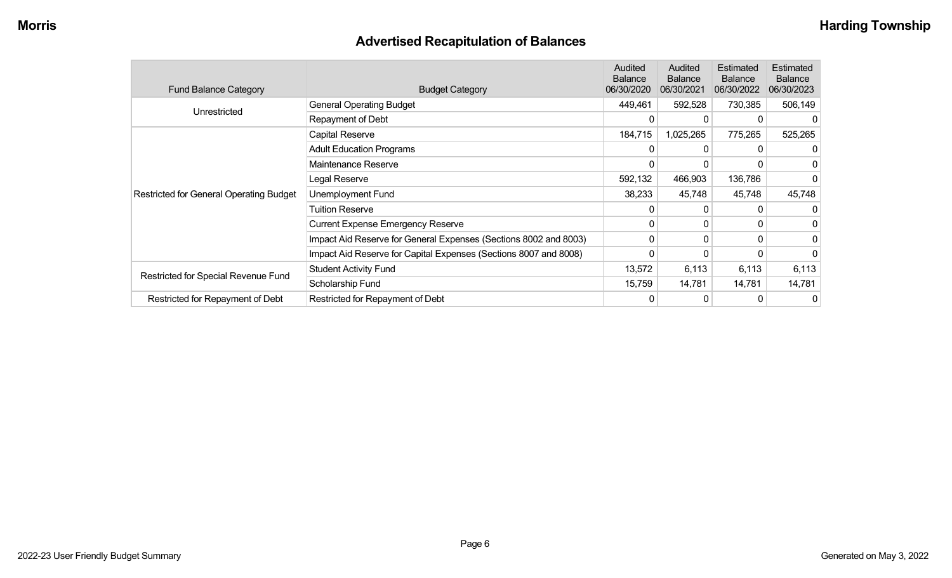# **Advertised Recapitulation of Balances**

| <b>Fund Balance Category</b>                   | <b>Budget Category</b>                                           | <b>Audited</b><br><b>Balance</b><br>06/30/2020 | Audited<br><b>Balance</b><br>06/30/2021 | Estimated<br><b>Balance</b><br>06/30/2022 | Estimated<br><b>Balance</b><br>06/30/2023 |
|------------------------------------------------|------------------------------------------------------------------|------------------------------------------------|-----------------------------------------|-------------------------------------------|-------------------------------------------|
| Unrestricted                                   | <b>General Operating Budget</b>                                  | 449,461                                        | 592,528                                 | 730,385                                   | 506,149                                   |
|                                                | Repayment of Debt                                                | 0                                              |                                         |                                           |                                           |
|                                                | Capital Reserve                                                  | 184,715                                        | 1,025,265                               | 775,265                                   | 525,265                                   |
|                                                | <b>Adult Education Programs</b>                                  | 0                                              |                                         |                                           |                                           |
|                                                | Maintenance Reserve                                              | 0                                              |                                         |                                           | 0                                         |
|                                                | Legal Reserve                                                    | 592,132                                        | 466,903                                 | 136,786                                   |                                           |
| <b>Restricted for General Operating Budget</b> | Unemployment Fund                                                | 38,233                                         | 45,748                                  | 45,748                                    | 45,748                                    |
|                                                | <b>Tuition Reserve</b>                                           | 0                                              |                                         |                                           |                                           |
|                                                | <b>Current Expense Emergency Reserve</b>                         | 0                                              | $\Omega$                                | 0                                         | 0                                         |
|                                                | Impact Aid Reserve for General Expenses (Sections 8002 and 8003) | 0                                              | $\Omega$                                | $\Omega$                                  | 0                                         |
|                                                | Impact Aid Reserve for Capital Expenses (Sections 8007 and 8008) | 0                                              |                                         |                                           | 0                                         |
|                                                | <b>Student Activity Fund</b>                                     | 13,572                                         | 6,113                                   | 6,113                                     | 6,113                                     |
| Restricted for Special Revenue Fund            | Scholarship Fund                                                 | 15,759                                         | 14,781                                  | 14,781                                    | 14,781                                    |
| Restricted for Repayment of Debt               | Restricted for Repayment of Debt                                 | 0                                              | 0                                       |                                           | 0                                         |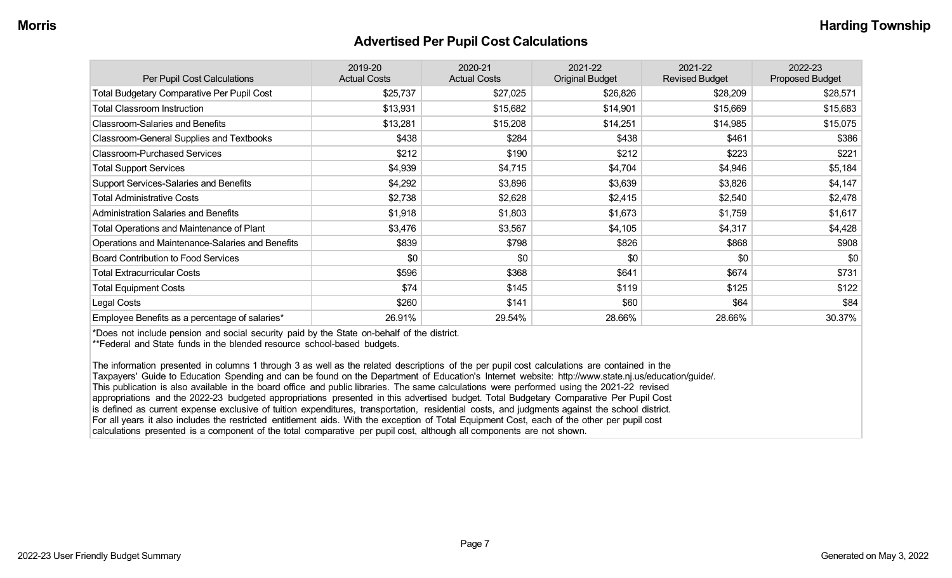#### **Advertised Per Pupil Cost Calculations**

| Per Pupil Cost Calculations                       | 2019-20<br><b>Actual Costs</b> | 2020-21<br><b>Actual Costs</b> | 2021-22<br><b>Original Budget</b> | 2021-22<br><b>Revised Budget</b> | 2022-23<br><b>Proposed Budget</b> |
|---------------------------------------------------|--------------------------------|--------------------------------|-----------------------------------|----------------------------------|-----------------------------------|
| <b>Total Budgetary Comparative Per Pupil Cost</b> | \$25,737                       | \$27,025                       | \$26,826                          | \$28,209                         | \$28,571                          |
| <b>Total Classroom Instruction</b>                | \$13,931                       | \$15,682                       | \$14,901                          | \$15,669                         | \$15,683                          |
| <b>Classroom-Salaries and Benefits</b>            | \$13,281                       | \$15,208                       | \$14,251                          | \$14,985                         | \$15,075                          |
| Classroom-General Supplies and Textbooks          | \$438                          | \$284                          | \$438                             | \$461                            | \$386                             |
| <b>Classroom-Purchased Services</b>               | \$212                          | \$190                          | \$212                             | \$223                            | \$221                             |
| <b>Total Support Services</b>                     | \$4,939                        | \$4,715                        | \$4,704                           | \$4,946                          | \$5,184                           |
| Support Services-Salaries and Benefits            | \$4,292                        | \$3,896                        | \$3,639                           | \$3,826                          | \$4,147                           |
| <b>Total Administrative Costs</b>                 | \$2,738                        | \$2,628                        | \$2,415                           | \$2,540                          | \$2,478                           |
| <b>Administration Salaries and Benefits</b>       | \$1,918                        | \$1,803                        | \$1,673                           | \$1,759                          | \$1,617                           |
| Total Operations and Maintenance of Plant         | \$3,476                        | \$3,567                        | \$4,105                           | \$4,317                          | \$4,428                           |
| Operations and Maintenance-Salaries and Benefits  | \$839                          | \$798                          | \$826                             | \$868                            | \$908                             |
| Board Contribution to Food Services               | \$0                            | \$0                            | \$0                               | \$0                              | \$0                               |
| <b>Total Extracurricular Costs</b>                | \$596                          | \$368                          | \$641                             | \$674                            | \$731                             |
| <b>Total Equipment Costs</b>                      | \$74                           | \$145                          | \$119                             | \$125                            | \$122                             |
| Legal Costs                                       | \$260                          | \$141                          | \$60                              | \$64                             | \$84                              |
| Employee Benefits as a percentage of salaries*    | 26.91%                         | 29.54%                         | 28.66%                            | 28.66%                           | 30.37%                            |

\*Does not include pension and social security paid by the State on-behalf of the district.

\*\*Federal and State funds in the blended resource school-based budgets.

The information presented in columns 1 through 3 as well as the related descriptions of the per pupil cost calculations are contained in the Taxpayers' Guide to Education Spending and can be found on the Department of Education's Internet website: http://www.state.nj.us/education/guide/. This publication is also available in the board office and public libraries. The same calculations were performed using the 2021-22 revised appropriations and the 2022-23 budgeted appropriations presented in this advertised budget. Total Budgetary Comparative Per Pupil Cost is defined as current expense exclusive of tuition expenditures, transportation, residential costs, and judgments against the school district. For all years it also includes the restricted entitlement aids. With the exception of Total Equipment Cost, each of the other per pupil cost calculations presented is a component of the total comparative per pupil cost, although all components are not shown.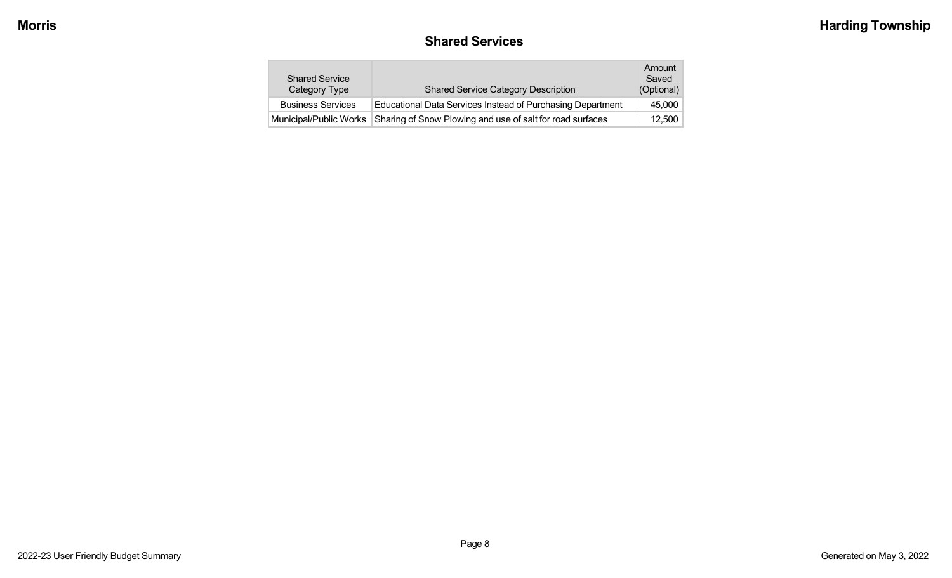# **Shared Services**

| <b>Shared Service</b><br>Category Type | <b>Shared Service Category Description</b>                 | Amount<br>Saved<br>(Optional) |
|----------------------------------------|------------------------------------------------------------|-------------------------------|
| <b>Business Services</b>               | Educational Data Services Instead of Purchasing Department | 45,000                        |
| Municipal/Public Works                 | Sharing of Snow Plowing and use of salt for road surfaces  | 12.500                        |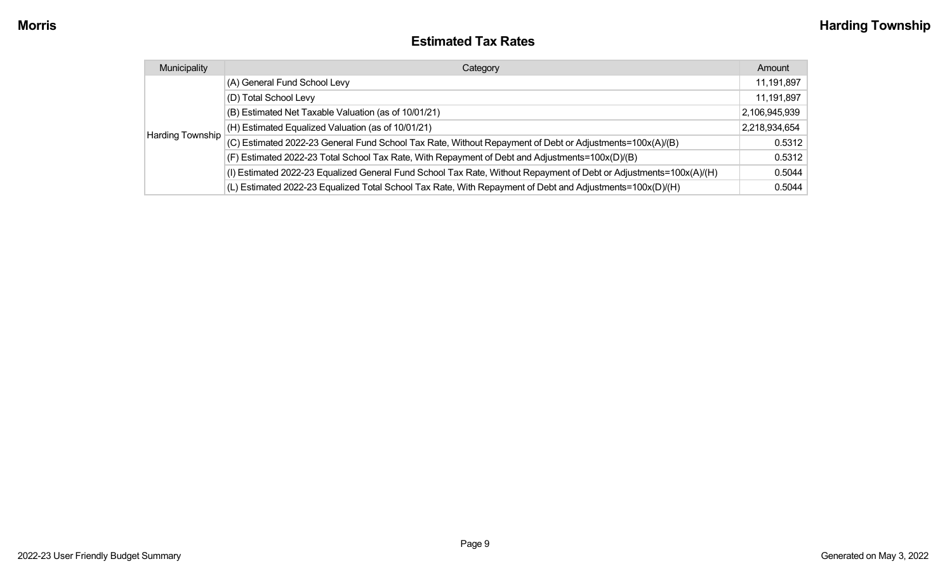### **Estimated Tax Rates**

| Municipality     | Category                                                                                                           | Amount        |
|------------------|--------------------------------------------------------------------------------------------------------------------|---------------|
|                  | (A) General Fund School Levy                                                                                       | 11,191,897    |
|                  | (D) Total School Levy                                                                                              | 11,191,897    |
|                  | (B) Estimated Net Taxable Valuation (as of 10/01/21)                                                               | 2,106,945,939 |
|                  | (H) Estimated Equalized Valuation (as of 10/01/21)                                                                 | 2,218,934,654 |
| Harding Township | (C) Estimated 2022-23 General Fund School Tax Rate, Without Repayment of Debt or Adjustments=100x(A)/(B)           | 0.5312        |
|                  | (F) Estimated 2022-23 Total School Tax Rate, With Repayment of Debt and Adjustments=100x(D)/(B)                    | 0.5312        |
|                  | (I) Estimated 2022-23 Equalized General Fund School Tax Rate, Without Repayment of Debt or Adjustments=100x(A)/(H) | 0.5044        |
|                  | (L) Estimated 2022-23 Equalized Total School Tax Rate, With Repayment of Debt and Adjustments=100x(D)/(H)          | 0.5044        |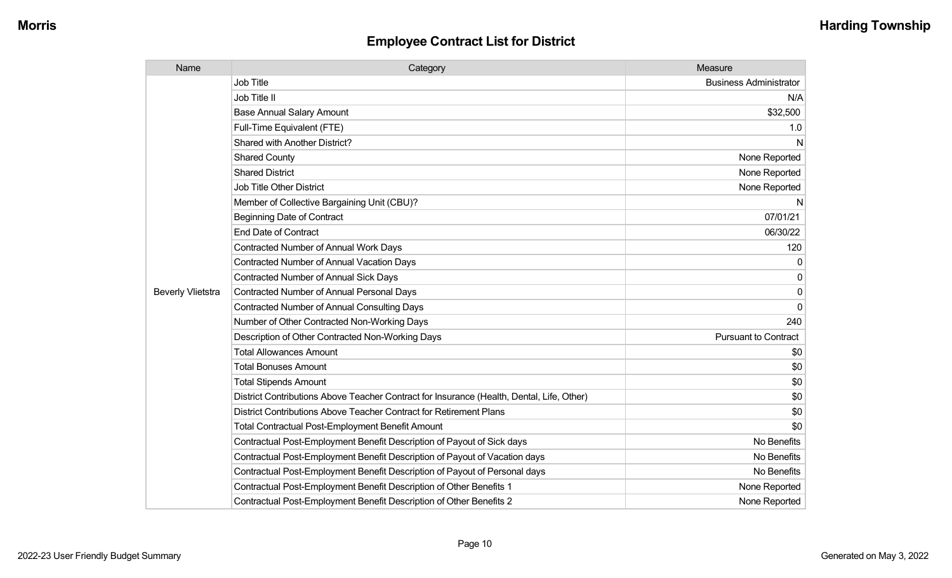| Name                     | Category                                                                                  | Measure                       |
|--------------------------|-------------------------------------------------------------------------------------------|-------------------------------|
|                          | <b>Job Title</b>                                                                          | <b>Business Administrator</b> |
|                          | Job Title II                                                                              | N/A                           |
|                          | <b>Base Annual Salary Amount</b>                                                          | \$32,500                      |
|                          | Full-Time Equivalent (FTE)                                                                | 1.0                           |
|                          | Shared with Another District?                                                             | N                             |
|                          | <b>Shared County</b>                                                                      | None Reported                 |
|                          | <b>Shared District</b>                                                                    | None Reported                 |
|                          | <b>Job Title Other District</b>                                                           | None Reported                 |
|                          | Member of Collective Bargaining Unit (CBU)?                                               | N                             |
|                          | <b>Beginning Date of Contract</b>                                                         | 07/01/21                      |
|                          | <b>End Date of Contract</b>                                                               | 06/30/22                      |
|                          | <b>Contracted Number of Annual Work Days</b>                                              | 120                           |
|                          | Contracted Number of Annual Vacation Days                                                 | $\mathbf 0$                   |
|                          | <b>Contracted Number of Annual Sick Days</b>                                              | $\mathbf{0}$                  |
| <b>Beverly Vlietstra</b> | <b>Contracted Number of Annual Personal Days</b>                                          | 0                             |
|                          | <b>Contracted Number of Annual Consulting Days</b>                                        | $\Omega$                      |
|                          | Number of Other Contracted Non-Working Days                                               | 240                           |
|                          | Description of Other Contracted Non-Working Days                                          | <b>Pursuant to Contract</b>   |
|                          | <b>Total Allowances Amount</b>                                                            | \$0                           |
|                          | <b>Total Bonuses Amount</b>                                                               | \$0                           |
|                          | <b>Total Stipends Amount</b>                                                              | \$0                           |
|                          | District Contributions Above Teacher Contract for Insurance (Health, Dental, Life, Other) | \$0                           |
|                          | District Contributions Above Teacher Contract for Retirement Plans                        | \$0                           |
|                          | <b>Total Contractual Post-Employment Benefit Amount</b>                                   | \$0                           |
|                          | Contractual Post-Employment Benefit Description of Payout of Sick days                    | No Benefits                   |
|                          | Contractual Post-Employment Benefit Description of Payout of Vacation days                | No Benefits                   |
|                          | Contractual Post-Employment Benefit Description of Payout of Personal days                | No Benefits                   |
|                          | Contractual Post-Employment Benefit Description of Other Benefits 1                       | None Reported                 |
|                          | Contractual Post-Employment Benefit Description of Other Benefits 2                       | None Reported                 |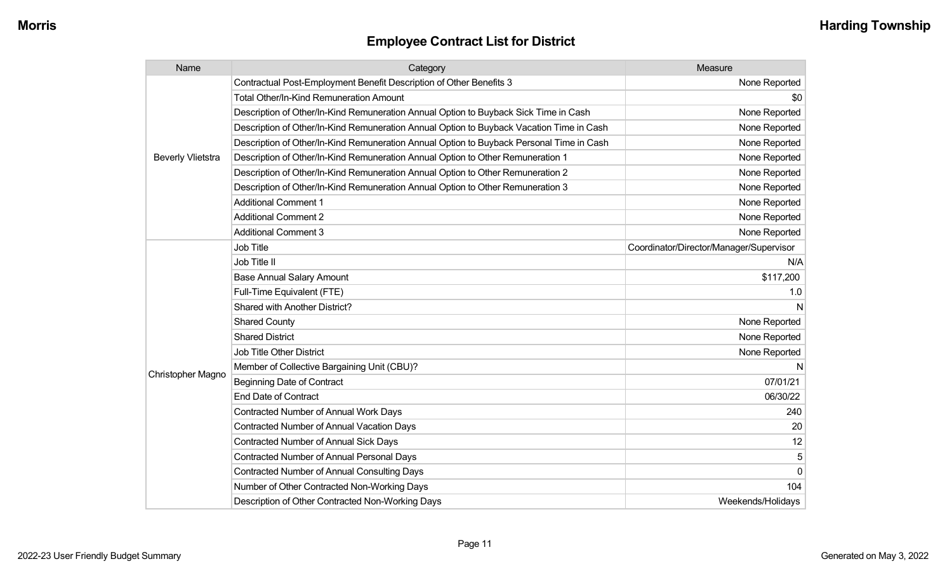| Name                     | Category                                                                                 | Measure                                 |
|--------------------------|------------------------------------------------------------------------------------------|-----------------------------------------|
|                          | Contractual Post-Employment Benefit Description of Other Benefits 3                      | None Reported                           |
|                          | Total Other/In-Kind Remuneration Amount                                                  | \$0                                     |
|                          | Description of Other/In-Kind Remuneration Annual Option to Buyback Sick Time in Cash     | None Reported                           |
|                          | Description of Other/In-Kind Remuneration Annual Option to Buyback Vacation Time in Cash | None Reported                           |
|                          | Description of Other/In-Kind Remuneration Annual Option to Buyback Personal Time in Cash | None Reported                           |
| <b>Beverly Vlietstra</b> | Description of Other/In-Kind Remuneration Annual Option to Other Remuneration 1          | None Reported                           |
|                          | Description of Other/In-Kind Remuneration Annual Option to Other Remuneration 2          | None Reported                           |
|                          | Description of Other/In-Kind Remuneration Annual Option to Other Remuneration 3          | None Reported                           |
|                          | <b>Additional Comment 1</b>                                                              | None Reported                           |
|                          | <b>Additional Comment 2</b>                                                              | None Reported                           |
|                          | <b>Additional Comment 3</b>                                                              | None Reported                           |
|                          | <b>Job Title</b>                                                                         | Coordinator/Director/Manager/Supervisor |
|                          | Job Title II                                                                             | N/A                                     |
|                          | <b>Base Annual Salary Amount</b>                                                         | \$117,200                               |
|                          | Full-Time Equivalent (FTE)                                                               | 1.0                                     |
|                          | Shared with Another District?                                                            |                                         |
|                          | <b>Shared County</b>                                                                     | None Reported                           |
|                          | <b>Shared District</b>                                                                   | None Reported                           |
|                          | Job Title Other District                                                                 | None Reported                           |
|                          | Member of Collective Bargaining Unit (CBU)?                                              |                                         |
| Christopher Magno        | <b>Beginning Date of Contract</b>                                                        | 07/01/21                                |
|                          | <b>End Date of Contract</b>                                                              | 06/30/22                                |
|                          | Contracted Number of Annual Work Days                                                    | 240                                     |
|                          | Contracted Number of Annual Vacation Days                                                | 20                                      |
|                          | Contracted Number of Annual Sick Days                                                    | 12                                      |
|                          | <b>Contracted Number of Annual Personal Days</b>                                         | 5                                       |
|                          | Contracted Number of Annual Consulting Days                                              | $\mathbf 0$                             |
|                          | Number of Other Contracted Non-Working Days                                              | 104                                     |
|                          | Description of Other Contracted Non-Working Days                                         | Weekends/Holidays                       |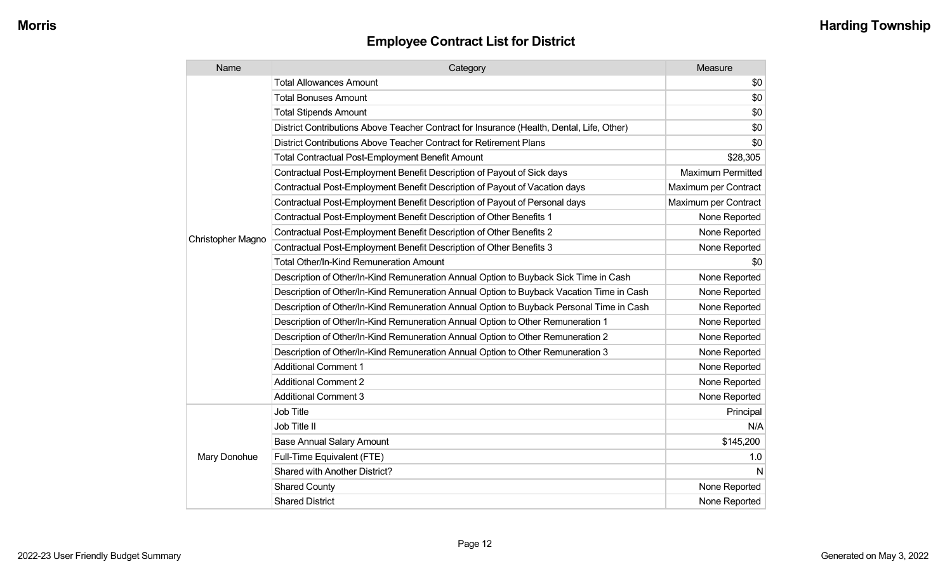| Name              | Category                                                                                  | Measure                  |
|-------------------|-------------------------------------------------------------------------------------------|--------------------------|
|                   | <b>Total Allowances Amount</b>                                                            | \$0                      |
|                   | <b>Total Bonuses Amount</b>                                                               | \$0                      |
|                   | <b>Total Stipends Amount</b>                                                              | \$0                      |
|                   | District Contributions Above Teacher Contract for Insurance (Health, Dental, Life, Other) | \$0                      |
|                   | District Contributions Above Teacher Contract for Retirement Plans                        | \$0                      |
|                   | <b>Total Contractual Post-Employment Benefit Amount</b>                                   | \$28,305                 |
|                   | Contractual Post-Employment Benefit Description of Payout of Sick days                    | <b>Maximum Permitted</b> |
|                   | Contractual Post-Employment Benefit Description of Payout of Vacation days                | Maximum per Contract     |
|                   | Contractual Post-Employment Benefit Description of Payout of Personal days                | Maximum per Contract     |
|                   | Contractual Post-Employment Benefit Description of Other Benefits 1                       | None Reported            |
| Christopher Magno | Contractual Post-Employment Benefit Description of Other Benefits 2                       | None Reported            |
|                   | Contractual Post-Employment Benefit Description of Other Benefits 3                       | None Reported            |
|                   | Total Other/In-Kind Remuneration Amount                                                   | \$0                      |
|                   | Description of Other/In-Kind Remuneration Annual Option to Buyback Sick Time in Cash      | None Reported            |
|                   | Description of Other/In-Kind Remuneration Annual Option to Buyback Vacation Time in Cash  | None Reported            |
|                   | Description of Other/In-Kind Remuneration Annual Option to Buyback Personal Time in Cash  | None Reported            |
|                   | Description of Other/In-Kind Remuneration Annual Option to Other Remuneration 1           | None Reported            |
|                   | Description of Other/In-Kind Remuneration Annual Option to Other Remuneration 2           | None Reported            |
|                   | Description of Other/In-Kind Remuneration Annual Option to Other Remuneration 3           | None Reported            |
|                   | <b>Additional Comment 1</b>                                                               | None Reported            |
|                   | <b>Additional Comment 2</b>                                                               | None Reported            |
|                   | <b>Additional Comment 3</b>                                                               | None Reported            |
|                   | Job Title                                                                                 | Principal                |
|                   | Job Title II                                                                              | N/A                      |
|                   | <b>Base Annual Salary Amount</b>                                                          | \$145,200                |
| Mary Donohue      | Full-Time Equivalent (FTE)                                                                | 1.0                      |
|                   | Shared with Another District?                                                             | N                        |
|                   | <b>Shared County</b>                                                                      | None Reported            |
|                   | <b>Shared District</b>                                                                    | None Reported            |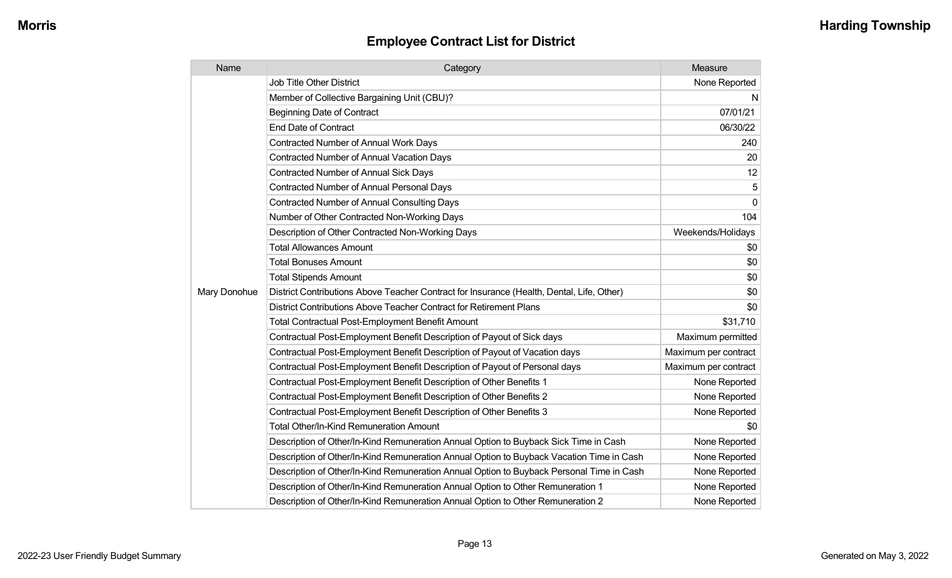| Name         | Category                                                                                  | Measure              |
|--------------|-------------------------------------------------------------------------------------------|----------------------|
| Mary Donohue | <b>Job Title Other District</b>                                                           | None Reported        |
|              | Member of Collective Bargaining Unit (CBU)?                                               | N                    |
|              | <b>Beginning Date of Contract</b>                                                         | 07/01/21             |
|              | <b>End Date of Contract</b>                                                               | 06/30/22             |
|              | Contracted Number of Annual Work Days                                                     | 240                  |
|              | <b>Contracted Number of Annual Vacation Days</b>                                          | 20                   |
|              | <b>Contracted Number of Annual Sick Days</b>                                              | 12                   |
|              | <b>Contracted Number of Annual Personal Days</b>                                          | 5                    |
|              | Contracted Number of Annual Consulting Days                                               | $\Omega$             |
|              | Number of Other Contracted Non-Working Days                                               | 104                  |
|              | Description of Other Contracted Non-Working Days                                          | Weekends/Holidays    |
|              | <b>Total Allowances Amount</b>                                                            | \$0                  |
|              | <b>Total Bonuses Amount</b>                                                               | \$0                  |
|              | <b>Total Stipends Amount</b>                                                              | \$0                  |
|              | District Contributions Above Teacher Contract for Insurance (Health, Dental, Life, Other) | \$0                  |
|              | District Contributions Above Teacher Contract for Retirement Plans                        | \$0                  |
|              | <b>Total Contractual Post-Employment Benefit Amount</b>                                   | \$31,710             |
|              | Contractual Post-Employment Benefit Description of Payout of Sick days                    | Maximum permitted    |
|              | Contractual Post-Employment Benefit Description of Payout of Vacation days                | Maximum per contract |
|              | Contractual Post-Employment Benefit Description of Payout of Personal days                | Maximum per contract |
|              | Contractual Post-Employment Benefit Description of Other Benefits 1                       | None Reported        |
|              | Contractual Post-Employment Benefit Description of Other Benefits 2                       | None Reported        |
|              | Contractual Post-Employment Benefit Description of Other Benefits 3                       | None Reported        |
|              | Total Other/In-Kind Remuneration Amount                                                   | \$0                  |
|              | Description of Other/In-Kind Remuneration Annual Option to Buyback Sick Time in Cash      | None Reported        |
|              | Description of Other/In-Kind Remuneration Annual Option to Buyback Vacation Time in Cash  | None Reported        |
|              | Description of Other/In-Kind Remuneration Annual Option to Buyback Personal Time in Cash  | None Reported        |
|              | Description of Other/In-Kind Remuneration Annual Option to Other Remuneration 1           | None Reported        |
|              | Description of Other/In-Kind Remuneration Annual Option to Other Remuneration 2           | None Reported        |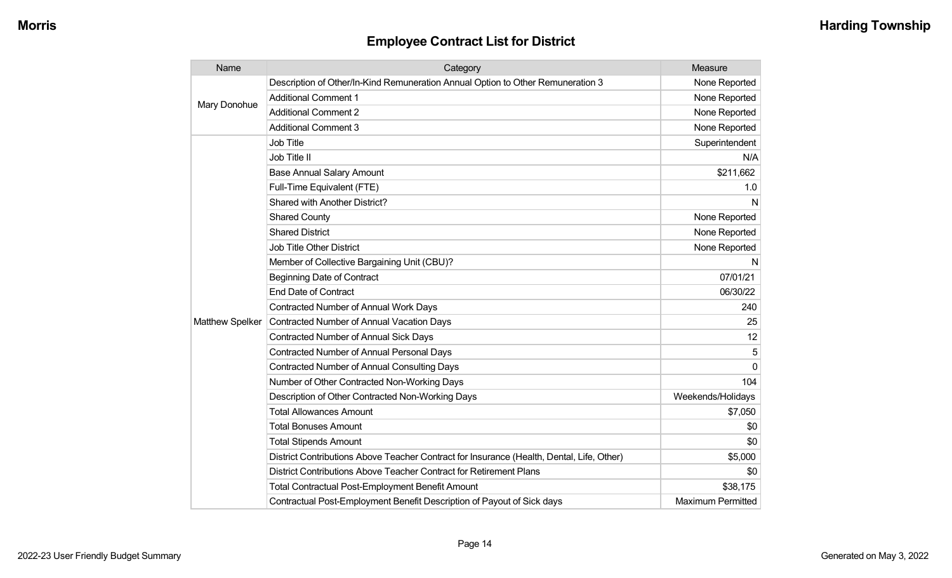| Name                   | Category                                                                                  | Measure                  |
|------------------------|-------------------------------------------------------------------------------------------|--------------------------|
| Mary Donohue           | Description of Other/In-Kind Remuneration Annual Option to Other Remuneration 3           | None Reported            |
|                        | <b>Additional Comment 1</b>                                                               | None Reported            |
|                        | <b>Additional Comment 2</b>                                                               | None Reported            |
|                        | <b>Additional Comment 3</b>                                                               | None Reported            |
|                        | <b>Job Title</b>                                                                          | Superintendent           |
|                        | Job Title II                                                                              | N/A                      |
|                        | <b>Base Annual Salary Amount</b>                                                          | \$211,662                |
|                        | Full-Time Equivalent (FTE)                                                                | 1.0                      |
|                        | <b>Shared with Another District?</b>                                                      | N                        |
|                        | <b>Shared County</b>                                                                      | None Reported            |
|                        | <b>Shared District</b>                                                                    | None Reported            |
|                        | <b>Job Title Other District</b>                                                           | None Reported            |
|                        | Member of Collective Bargaining Unit (CBU)?                                               | N                        |
|                        | <b>Beginning Date of Contract</b>                                                         | 07/01/21                 |
|                        | <b>End Date of Contract</b>                                                               | 06/30/22                 |
|                        | <b>Contracted Number of Annual Work Days</b>                                              | 240                      |
| <b>Matthew Spelker</b> | Contracted Number of Annual Vacation Days                                                 | 25                       |
|                        | <b>Contracted Number of Annual Sick Days</b>                                              | 12                       |
|                        | <b>Contracted Number of Annual Personal Days</b>                                          | 5                        |
|                        | <b>Contracted Number of Annual Consulting Days</b>                                        | $\mathbf{0}$             |
|                        | Number of Other Contracted Non-Working Days                                               | 104                      |
|                        | Description of Other Contracted Non-Working Days                                          | Weekends/Holidays        |
|                        | <b>Total Allowances Amount</b>                                                            | \$7,050                  |
|                        | <b>Total Bonuses Amount</b>                                                               | \$0                      |
|                        | <b>Total Stipends Amount</b>                                                              | \$0                      |
|                        | District Contributions Above Teacher Contract for Insurance (Health, Dental, Life, Other) | \$5,000                  |
|                        | District Contributions Above Teacher Contract for Retirement Plans                        | \$0                      |
|                        | <b>Total Contractual Post-Employment Benefit Amount</b>                                   | \$38,175                 |
|                        | Contractual Post-Employment Benefit Description of Payout of Sick days                    | <b>Maximum Permitted</b> |